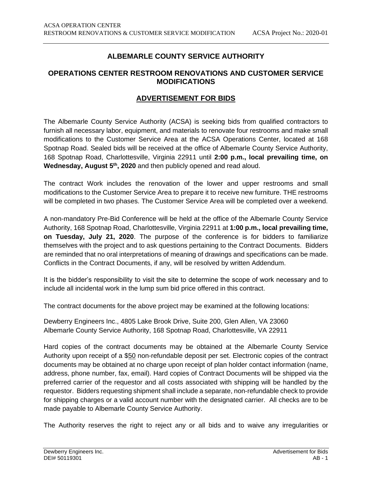## **ALBEMARLE COUNTY SERVICE AUTHORITY**

## **OPERATIONS CENTER RESTROOM RENOVATIONS AND CUSTOMER SERVICE MODIFICATIONS**

## **ADVERTISEMENT FOR BIDS**

The Albemarle County Service Authority (ACSA) is seeking bids from qualified contractors to furnish all necessary labor, equipment, and materials to renovate four restrooms and make small modifications to the Customer Service Area at the ACSA Operations Center, located at 168 Spotnap Road. Sealed bids will be received at the office of Albemarle County Service Authority, 168 Spotnap Road, Charlottesville, Virginia 22911 until **2:00 p.m., local prevailing time, on Wednesday, August 5th, 2020** and then publicly opened and read aloud.

The contract Work includes the renovation of the lower and upper restrooms and small modifications to the Customer Service Area to prepare it to receive new furniture. THE restrooms will be completed in two phases. The Customer Service Area will be completed over a weekend.

A non-mandatory Pre-Bid Conference will be held at the office of the Albemarle County Service Authority, 168 Spotnap Road, Charlottesville, Virginia 22911 at **1:00 p.m., local prevailing time, on Tuesday, July 21, 2020**. The purpose of the conference is for bidders to familiarize themselves with the project and to ask questions pertaining to the Contract Documents. Bidders are reminded that no oral interpretations of meaning of drawings and specifications can be made. Conflicts in the Contract Documents, if any, will be resolved by written Addendum.

It is the bidder's responsibility to visit the site to determine the scope of work necessary and to include all incidental work in the lump sum bid price offered in this contract.

The contract documents for the above project may be examined at the following locations:

Dewberry Engineers Inc., 4805 Lake Brook Drive, Suite 200, Glen Allen, VA 23060 Albemarle County Service Authority, 168 Spotnap Road, Charlottesville, VA 22911

Hard copies of the contract documents may be obtained at the Albemarle County Service Authority upon receipt of a \$50 non-refundable deposit per set. Electronic copies of the contract documents may be obtained at no charge upon receipt of plan holder contact information (name, address, phone number, fax, email). Hard copies of Contract Documents will be shipped via the preferred carrier of the requestor and all costs associated with shipping will be handled by the requestor. Bidders requesting shipment shall include a separate, non-refundable check to provide for shipping charges or a valid account number with the designated carrier. All checks are to be made payable to Albemarle County Service Authority.

The Authority reserves the right to reject any or all bids and to waive any irregularities or